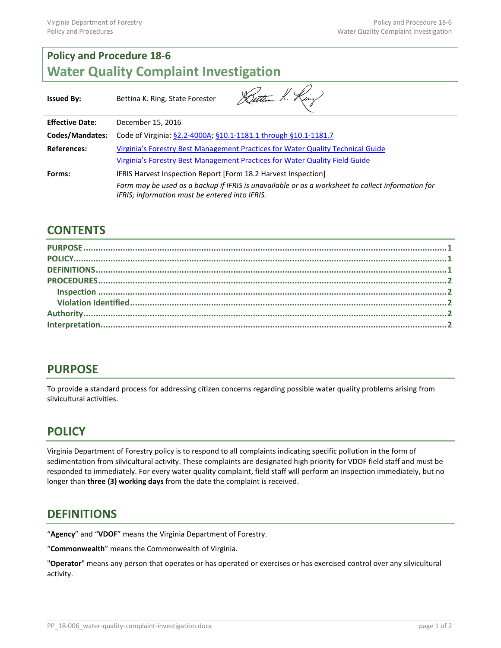# **Policy and Procedure 18-6 Water Quality Complaint Investigation**

| <b>Issued By:</b>      | Button K. King<br>Bettina K. Ring, State Forester                                                                                                                                                                     |
|------------------------|-----------------------------------------------------------------------------------------------------------------------------------------------------------------------------------------------------------------------|
| <b>Effective Date:</b> | December 15, 2016                                                                                                                                                                                                     |
| Codes/Mandates:        | Code of Virginia: §2.2-4000A; §10.1-1181.1 through §10.1-1181.7                                                                                                                                                       |
| References:            | Virginia's Forestry Best Management Practices for Water Quality Technical Guide<br>Virginia's Forestry Best Management Practices for Water Quality Field Guide                                                        |
| Forms:                 | IFRIS Harvest Inspection Report [Form 18.2 Harvest Inspection]<br>Form may be used as a backup if IFRIS is unavailable or as a worksheet to collect information for<br>IFRIS; information must be entered into IFRIS. |

#### **CONTENTS**

| $\textbf{DEFINITIONS} \textbf{} \textbf{} \textbf{} \textbf{} \textbf{} \textbf{} \textbf{} \textbf{} \textbf{} \textbf{} \textbf{} \textbf{} \textbf{} \textbf{} \textbf{} \textbf{} \textbf{1}$ |  |
|---------------------------------------------------------------------------------------------------------------------------------------------------------------------------------------------------|--|
|                                                                                                                                                                                                   |  |
|                                                                                                                                                                                                   |  |
|                                                                                                                                                                                                   |  |
|                                                                                                                                                                                                   |  |
|                                                                                                                                                                                                   |  |
|                                                                                                                                                                                                   |  |

#### **PURPOSE**

To provide a standard process for addressing citizen concerns regarding possible water quality problems arising from silvicultural activities.

### **POLICY**

Virginia Department of Forestry policy is to respond to all complaints indicating specific pollution in the form of sedimentation from silvicultural activity. These complaints are designated high priority for VDOF field staff and must be responded to immediately. For every water quality complaint, field staff will perform an inspection immediately, but no longer than **three (3) working days** from the date the complaint is received.

### **DEFINITIONS**

"**Agency**" and "**VDOF**" means the Virginia Department of Forestry.

"**Commonwealth**" means the Commonwealth of Virginia.

"**Operator**" means any person that operates or has operated or exercises or has exercised control over any silvicultural activity.